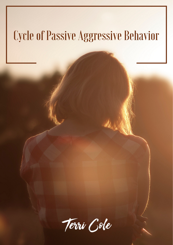# CycleofPassive Aggressive Behavior

De : 1

Terri Cole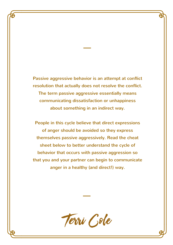Passive aggressive behavior is an attempt at conflict resolution that actually does not resolve the conflict. The term passive aggressive essentially means communicating dissatisfaction or unhappiness about something in an indirect way.

People in this cycle believe that direct expressions of anger should be avoided so they express themselves passive aggressively. Read the cheat sheet below to better understand the cycle of behavior that occurs with passive aggression so that you and your partner can begin to communicate anger in a healthy (and direct!) way.

Terri Gole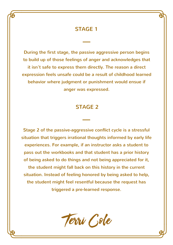## STAGE 1

During the first stage, the passive aggressive person begins to build up of those feelings of anger and acknowledges that it isn't safe to express them directly. The reason a direct expression feels unsafe could be a result of childhood learned behavior where judgment or punishment would ensue if anger was expressed.

# STAGE 2

Stage 2 of the passive-aggressive conflict cycle is a stressful situation that triggers irrational thoughts informed by early life experiences. For example, if an instructor asks a student to pass out the workbooks and that student has a prior history of being asked to do things and not being appreciated for it, the student might fall back on this history in the current situation. Instead of feeling honored by being asked to help, the student might feel resentful because the request has triggered a pre-learned response.

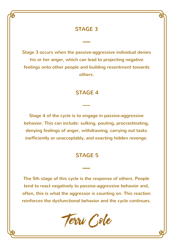# STAGE 3

Stage 3 occurs when the passive-aggressive individual denies his or her anger, which can lead to projecting negative feelings onto other people and building resentment towards others.

#### STAGE 4

Stage 4 of the cycle is to engage in passive-aggressive behavior. This can include: sulking, pouting, procrastinating, denying feelings of anger, withdrawing, carrying out tasks inefficiently or unacceptably, and exacting hidden revenge.

### STAGE 5

The 5th stage of this cycle is the response of others. People tend to react negatively to passive-aggressive behavior and, often, this is what the aggressor is counting on. This reaction reinforces the dysfunctional behavior and the cycle continues.